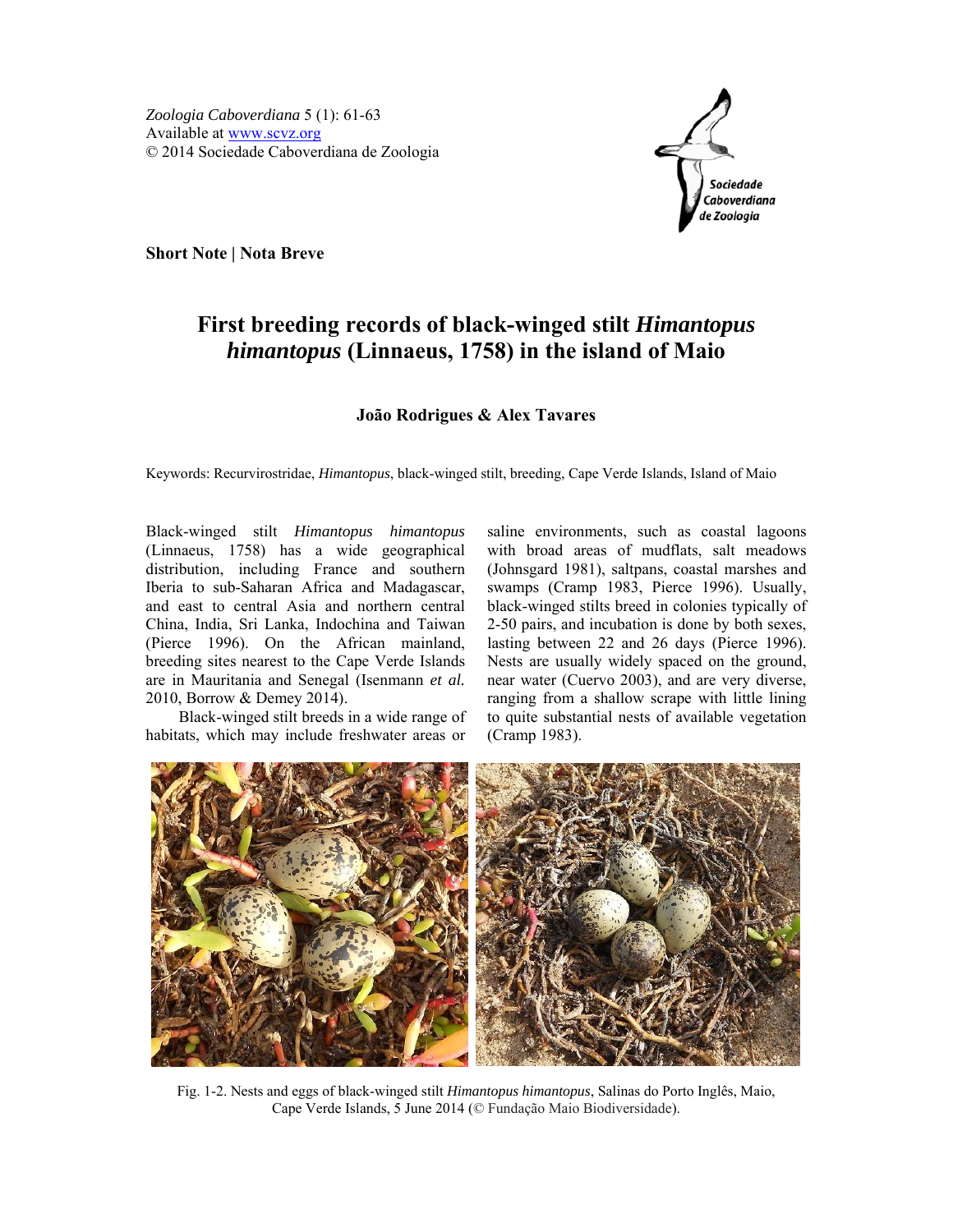

**Short Note | Nota Breve** 

## **First breeding records of black-winged stilt** *Himantopus himantopus* **(Linnaeus, 1758) in the island of Maio**

## **João Rodrigues & Alex Tavares**

Keywords: Recurvirostridae, *Himantopus*, black-winged stilt, breeding, Cape Verde Islands, Island of Maio

Black-winged stilt *Himantopus himantopus* (Linnaeus, 1758) has a wide geographical distribution, including France and southern Iberia to sub-Saharan Africa and Madagascar, and east to central Asia and northern central China, India, Sri Lanka, Indochina and Taiwan (Pierce 1996). On the African mainland, breeding sites nearest to the Cape Verde Islands are in Mauritania and Senegal (Isenmann *et al.* 2010, Borrow & Demey 2014).

Black-winged stilt breeds in a wide range of habitats, which may include freshwater areas or

saline environments, such as coastal lagoons with broad areas of mudflats, salt meadows (Johnsgard 1981), saltpans, coastal marshes and swamps (Cramp 1983, Pierce 1996). Usually, black-winged stilts breed in colonies typically of 2-50 pairs, and incubation is done by both sexes, lasting between 22 and 26 days (Pierce 1996). Nests are usually widely spaced on the ground, near water (Cuervo 2003), and are very diverse, ranging from a shallow scrape with little lining to quite substantial nests of available vegetation (Cramp 1983).



Fig. 1-2. Nests and eggs of black-winged stilt *Himantopus himantopus*, Salinas do Porto Inglês, Maio, Cape Verde Islands, 5 June 2014 (© Fundação Maio Biodiversidade).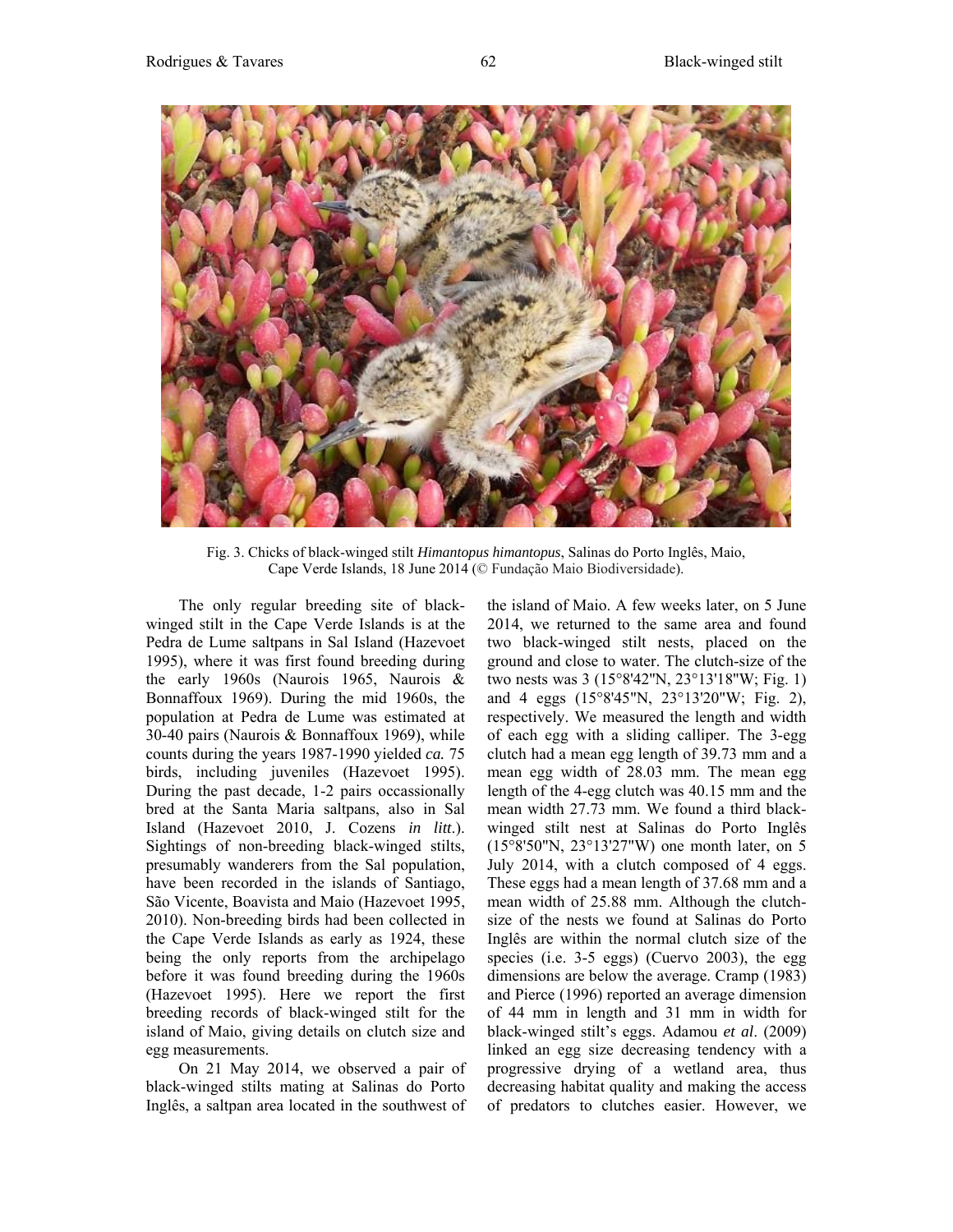

Fig. 3. Chicks of black-winged stilt *Himantopus himantopus*, Salinas do Porto Inglês, Maio, Cape Verde Islands, 18 June 2014 (© Fundação Maio Biodiversidade).

The only regular breeding site of blackwinged stilt in the Cape Verde Islands is at the Pedra de Lume saltpans in Sal Island (Hazevoet 1995), where it was first found breeding during the early 1960s (Naurois 1965, Naurois & Bonnaffoux 1969). During the mid 1960s, the population at Pedra de Lume was estimated at 30-40 pairs (Naurois & Bonnaffoux 1969), while counts during the years 1987-1990 yielded *ca.* 75 birds, including juveniles (Hazevoet 1995). During the past decade, 1-2 pairs occassionally bred at the Santa Maria saltpans, also in Sal Island (Hazevoet 2010, J. Cozens *in litt*.). Sightings of non-breeding black-winged stilts, presumably wanderers from the Sal population, have been recorded in the islands of Santiago, São Vicente, Boavista and Maio (Hazevoet 1995, 2010). Non-breeding birds had been collected in the Cape Verde Islands as early as 1924, these being the only reports from the archipelago before it was found breeding during the 1960s (Hazevoet 1995). Here we report the first breeding records of black-winged stilt for the island of Maio, giving details on clutch size and egg measurements.

On 21 May 2014, we observed a pair of black-winged stilts mating at Salinas do Porto Inglês, a saltpan area located in the southwest of the island of Maio. A few weeks later, on 5 June 2014, we returned to the same area and found two black-winged stilt nests, placed on the ground and close to water. The clutch-size of the two nests was 3 (15°8'42''N, 23°13'18''W; Fig. 1) and 4 eggs (15°8'45"N, 23°13'20"W; Fig. 2), respectively. We measured the length and width of each egg with a sliding calliper. The 3-egg clutch had a mean egg length of 39.73 mm and a mean egg width of 28.03 mm. The mean egg length of the 4-egg clutch was 40.15 mm and the mean width 27.73 mm. We found a third blackwinged stilt nest at Salinas do Porto Inglês (15°8'50"N, 23°13'27"W) one month later, on 5 July 2014, with a clutch composed of 4 eggs. These eggs had a mean length of 37.68 mm and a mean width of 25.88 mm. Although the clutchsize of the nests we found at Salinas do Porto Inglês are within the normal clutch size of the species (i.e. 3-5 eggs) (Cuervo 2003), the egg dimensions are below the average. Cramp (1983) and Pierce (1996) reported an average dimension of 44 mm in length and 31 mm in width for black-winged stilt's eggs. Adamou *et al*. (2009) linked an egg size decreasing tendency with a progressive drying of a wetland area, thus decreasing habitat quality and making the access of predators to clutches easier. However, we